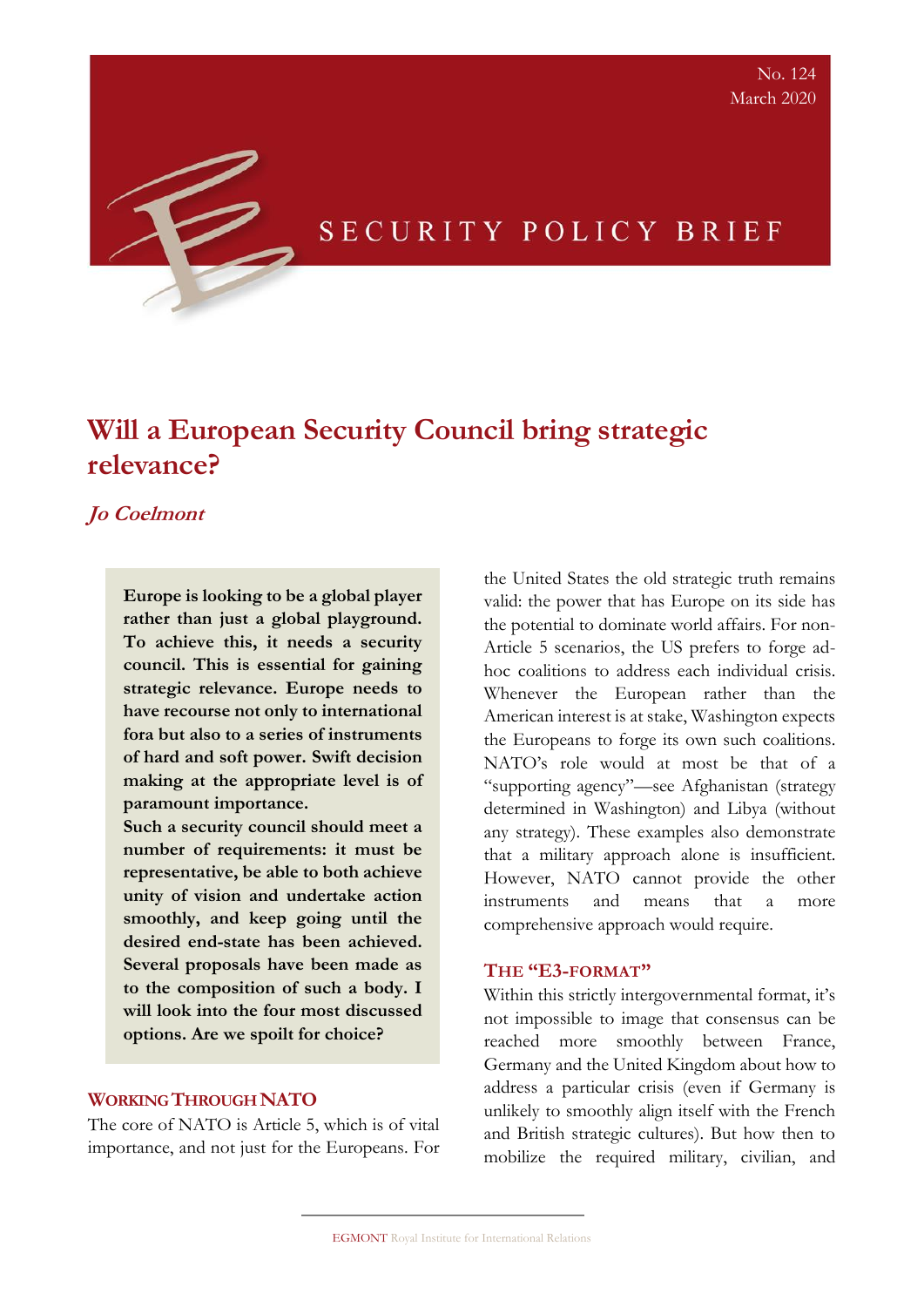# SECURITY POLICY BRIEF

# **Will a European Security Council bring strategic relevance?**

# **Jo Coelmont**

**Europe is looking to be a global player rather than just a global playground. To achieve this, it needs a security council. This is essential for gaining strategic relevance. Europe needs to have recourse not only to international fora but also to a series of instruments of hard and soft power. Swift decision making at the appropriate level is of paramount importance.** 

**Such a security council should meet a number of requirements: it must be representative, be able to both achieve unity of vision and undertake action smoothly, and keep going until the desired end-state has been achieved. Several proposals have been made as to the composition of such a body. I will look into the four most discussed options. Are we spoilt for choice?**

# **WORKING THROUGH NATO**

The core of NATO is Article 5, which is of vital importance, and not just for the Europeans. For the United States the old strategic truth remains valid: the power that has Europe on its side has the potential to dominate world affairs. For non-Article 5 scenarios, the US prefers to forge adhoc coalitions to address each individual crisis. Whenever the European rather than the American interest is at stake, Washington expects the Europeans to forge its own such coalitions. NATO's role would at most be that of a "supporting agency"—see Afghanistan (strategy determined in Washington) and Libya (without any strategy). These examples also demonstrate that a military approach alone is insufficient. However, NATO cannot provide the other instruments and means that a more comprehensive approach would require.

#### **THE "E3-FORMAT"**

Within this strictly intergovernmental format, it's not impossible to image that consensus can be reached more smoothly between France, Germany and the United Kingdom about how to address a particular crisis (even if Germany is unlikely to smoothly align itself with the French and British strategic cultures). But how then to mobilize the required military, civilian, and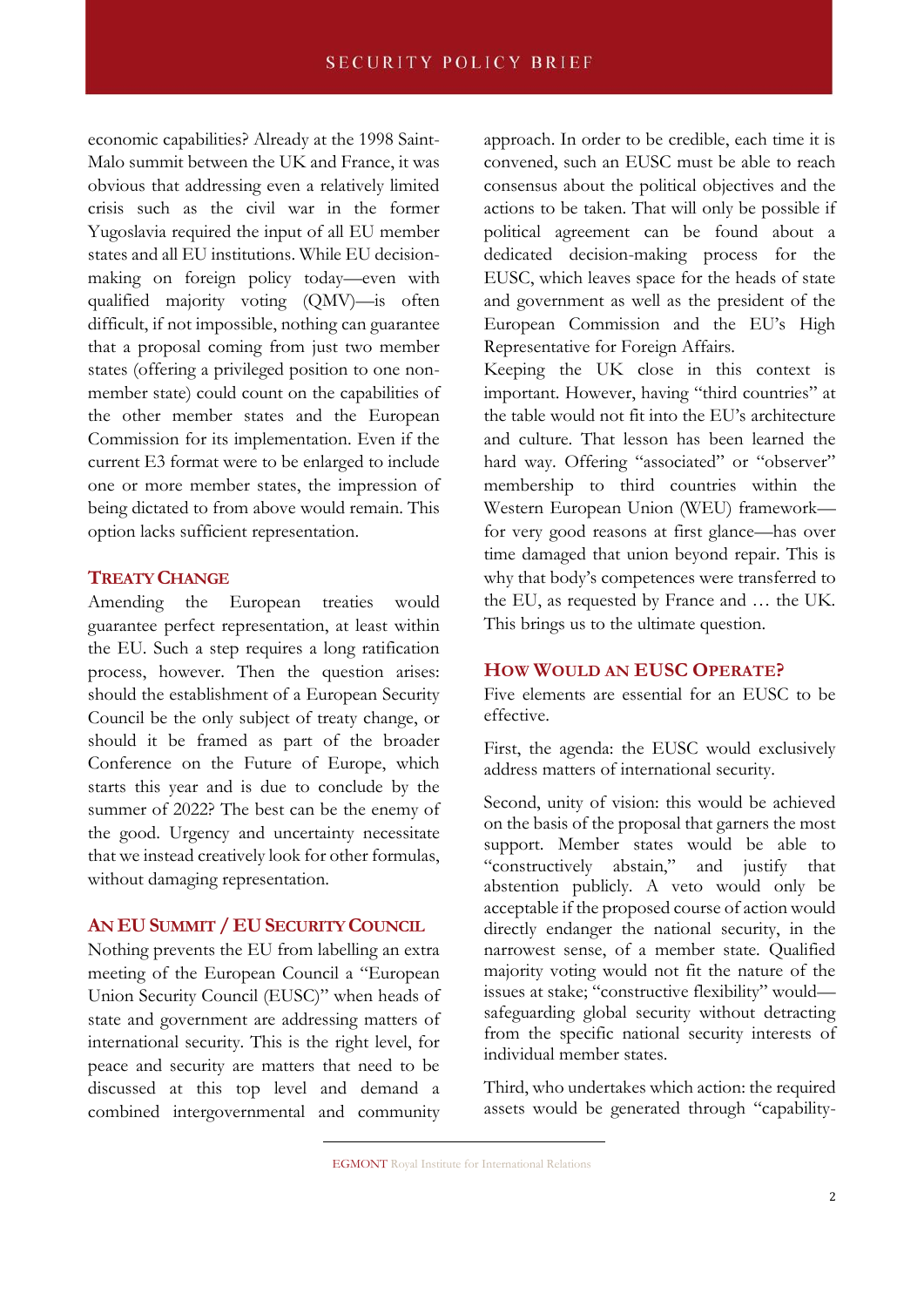economic capabilities? Already at the 1998 Saint-Malo summit between the UK and France, it was obvious that addressing even a relatively limited crisis such as the civil war in the former Yugoslavia required the input of all EU member states and all EU institutions. While EU decisionmaking on foreign policy today—even with qualified majority voting (QMV)—is often difficult, if not impossible, nothing can guarantee that a proposal coming from just two member states (offering a privileged position to one nonmember state) could count on the capabilities of the other member states and the European Commission for its implementation. Even if the current E3 format were to be enlarged to include one or more member states, the impression of being dictated to from above would remain. This option lacks sufficient representation.

### **TREATY CHANGE**

Amending the European treaties would guarantee perfect representation, at least within the EU. Such a step requires a long ratification process, however. Then the question arises: should the establishment of a European Security Council be the only subject of treaty change, or should it be framed as part of the broader Conference on the Future of Europe, which starts this year and is due to conclude by the summer of 2022? The best can be the enemy of the good. Urgency and uncertainty necessitate that we instead creatively look for other formulas, without damaging representation.

## **AN EUSUMMIT / EUSECURITY COUNCIL**

Nothing prevents the EU from labelling an extra meeting of the European Council a "European Union Security Council (EUSC)" when heads of state and government are addressing matters of international security. This is the right level, for peace and security are matters that need to be discussed at this top level and demand a combined intergovernmental and community approach. In order to be credible, each time it is convened, such an EUSC must be able to reach consensus about the political objectives and the actions to be taken. That will only be possible if political agreement can be found about a dedicated decision-making process for the EUSC, which leaves space for the heads of state and government as well as the president of the European Commission and the EU's High Representative for Foreign Affairs.

Keeping the UK close in this context is important. However, having "third countries" at the table would not fit into the EU's architecture and culture. That lesson has been learned the hard way. Offering "associated" or "observer" membership to third countries within the Western European Union (WEU) framework for very good reasons at first glance—has over time damaged that union beyond repair. This is why that body's competences were transferred to the EU, as requested by France and … the UK. This brings us to the ultimate question.

# **HOW WOULD AN EUSC OPERATE?**

Five elements are essential for an EUSC to be effective.

First, the agenda: the EUSC would exclusively address matters of international security.

Second, unity of vision: this would be achieved on the basis of the proposal that garners the most support. Member states would be able to "constructively abstain," and justify that abstention publicly. A veto would only be acceptable if the proposed course of action would directly endanger the national security, in the narrowest sense, of a member state. Qualified majority voting would not fit the nature of the issues at stake; "constructive flexibility" would safeguarding global security without detracting from the specific national security interests of individual member states.

Third, who undertakes which action: the required assets would be generated through "capability